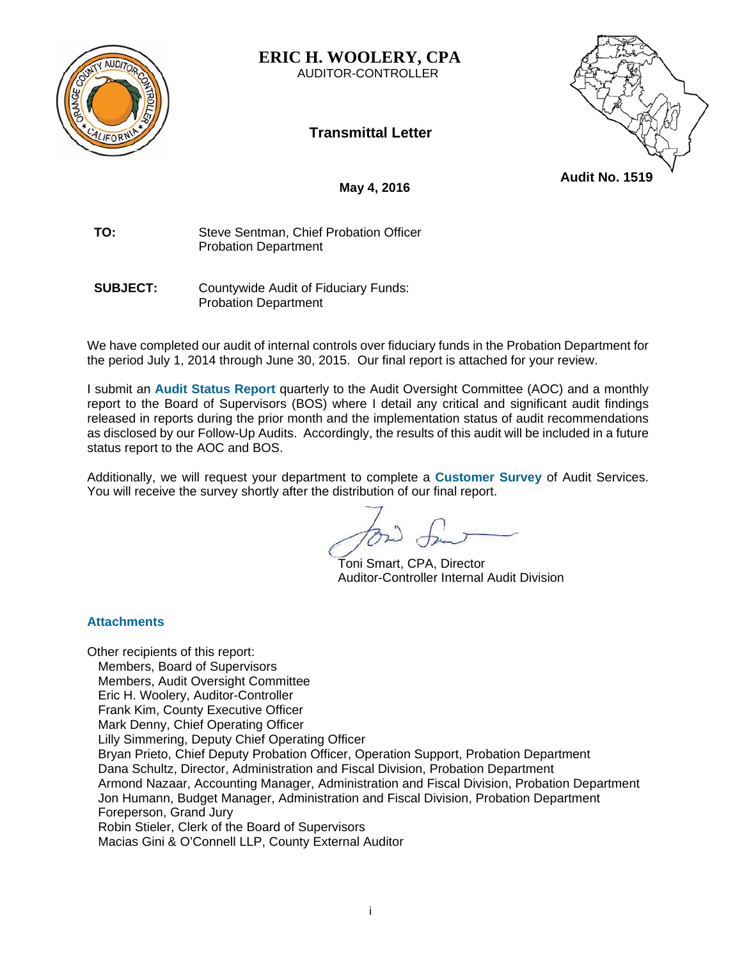

**ERIC H. WOOLERY, CPA**  AUDITOR-CONTROLLER





**May 4, 2016** 

**TO:** Steve Sentman, Chief Probation Officer Probation Department

**SUBJECT:** Countywide Audit of Fiduciary Funds: Probation Department

We have completed our audit of internal controls over fiduciary funds in the Probation Department for the period July 1, 2014 through June 30, 2015. Our final report is attached for your review.

I submit an **Audit Status Report** quarterly to the Audit Oversight Committee (AOC) and a monthly report to the Board of Supervisors (BOS) where I detail any critical and significant audit findings released in reports during the prior month and the implementation status of audit recommendations as disclosed by our Follow-Up Audits. Accordingly, the results of this audit will be included in a future status report to the AOC and BOS.

Additionally, we will request your department to complete a **Customer Survey** of Audit Services. You will receive the survey shortly after the distribution of our final report.

 Toni Smart, CPA, Director Auditor-Controller Internal Audit Division

# **Attachments**

Other recipients of this report: Members, Board of Supervisors Members, Audit Oversight Committee Eric H. Woolery, Auditor-Controller Frank Kim, County Executive Officer Mark Denny, Chief Operating Officer Lilly Simmering, Deputy Chief Operating Officer Bryan Prieto, Chief Deputy Probation Officer, Operation Support, Probation Department Dana Schultz, Director, Administration and Fiscal Division, Probation Department Armond Nazaar, Accounting Manager, Administration and Fiscal Division, Probation Department Jon Humann, Budget Manager, Administration and Fiscal Division, Probation Department Foreperson, Grand Jury Robin Stieler, Clerk of the Board of Supervisors Macias Gini & O'Connell LLP, County External Auditor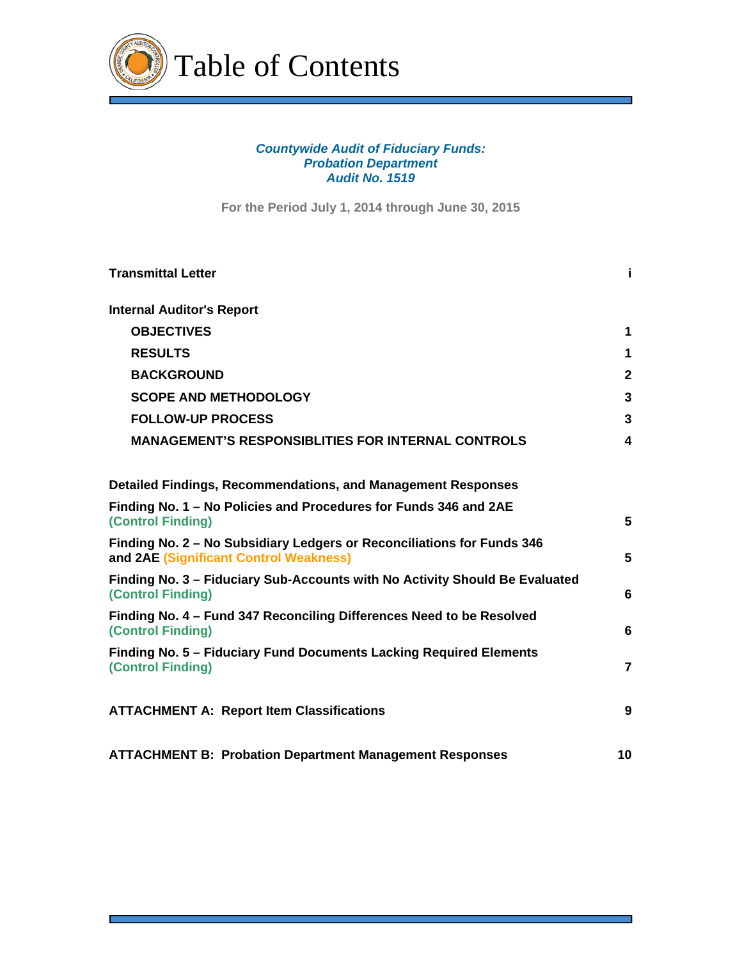

# *Countywide Audit of Fiduciary Funds: Probation Department Audit No. 1519*

**For the Period July 1, 2014 through June 30, 2015**

| <b>Transmittal Letter</b>                                                                                        | j.           |
|------------------------------------------------------------------------------------------------------------------|--------------|
| <b>Internal Auditor's Report</b>                                                                                 |              |
| <b>OBJECTIVES</b>                                                                                                | 1            |
| <b>RESULTS</b>                                                                                                   | 1            |
| <b>BACKGROUND</b>                                                                                                | $\mathbf{2}$ |
| <b>SCOPE AND METHODOLOGY</b>                                                                                     | 3            |
| <b>FOLLOW-UP PROCESS</b>                                                                                         | $\mathbf{3}$ |
| <b>MANAGEMENT'S RESPONSIBLITIES FOR INTERNAL CONTROLS</b>                                                        | 4            |
| <b>Detailed Findings, Recommendations, and Management Responses</b>                                              |              |
| Finding No. 1 - No Policies and Procedures for Funds 346 and 2AE<br>(Control Finding)                            | 5            |
| Finding No. 2 - No Subsidiary Ledgers or Reconciliations for Funds 346<br>and 2AE (Significant Control Weakness) | 5            |
| Finding No. 3 - Fiduciary Sub-Accounts with No Activity Should Be Evaluated<br><b>(Control Finding)</b>          | 6            |
| Finding No. 4 - Fund 347 Reconciling Differences Need to be Resolved<br>(Control Finding)                        | 6            |
| Finding No. 5 - Fiduciary Fund Documents Lacking Required Elements<br>(Control Finding)                          | 7            |
| <b>ATTACHMENT A: Report Item Classifications</b>                                                                 | 9            |
| <b>ATTACHMENT B: Probation Department Management Responses</b>                                                   | 10           |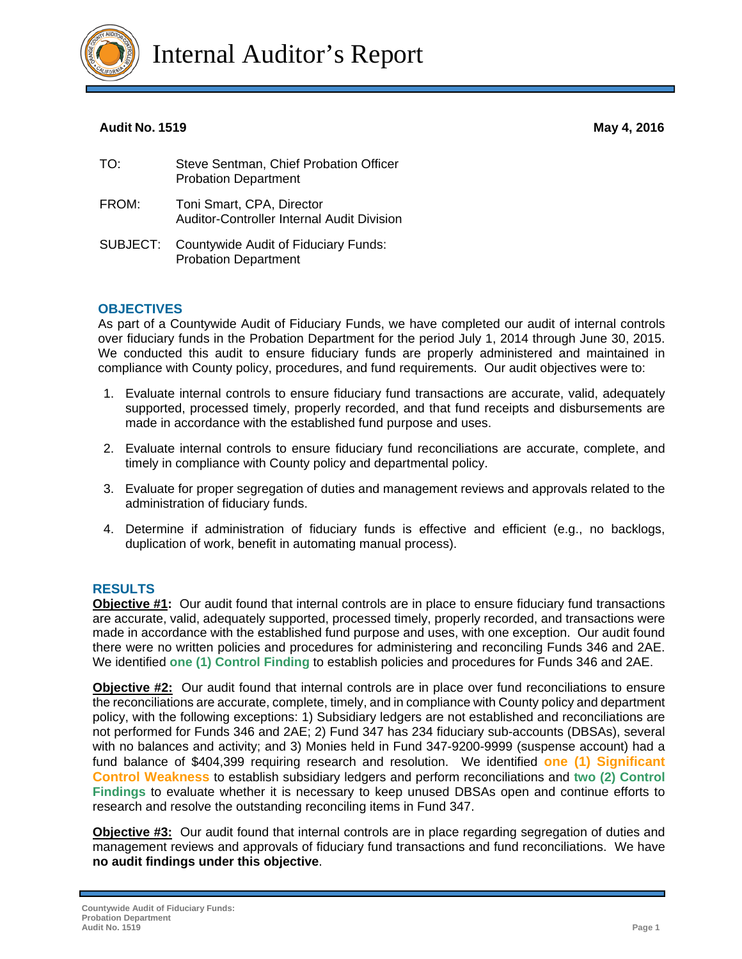

Internal Auditor's Report

# **Audit No. 1519 May 4, 2016**

| TO:      | Steve Sentman, Chief Probation Officer<br><b>Probation Department</b>      |
|----------|----------------------------------------------------------------------------|
| FROM:    | Toni Smart, CPA, Director<br>Auditor-Controller Internal Audit Division    |
| SUBJECT: | <b>Countywide Audit of Fiduciary Funds:</b><br><b>Probation Department</b> |

# **OBJECTIVES**

As part of a Countywide Audit of Fiduciary Funds, we have completed our audit of internal controls over fiduciary funds in the Probation Department for the period July 1, 2014 through June 30, 2015. We conducted this audit to ensure fiduciary funds are properly administered and maintained in compliance with County policy, procedures, and fund requirements. Our audit objectives were to:

- 1. Evaluate internal controls to ensure fiduciary fund transactions are accurate, valid, adequately supported, processed timely, properly recorded, and that fund receipts and disbursements are made in accordance with the established fund purpose and uses.
- 2. Evaluate internal controls to ensure fiduciary fund reconciliations are accurate, complete, and timely in compliance with County policy and departmental policy.
- 3. Evaluate for proper segregation of duties and management reviews and approvals related to the administration of fiduciary funds.
- 4. Determine if administration of fiduciary funds is effective and efficient (e.g., no backlogs, duplication of work, benefit in automating manual process).

# **RESULTS**

**Objective #1:** Our audit found that internal controls are in place to ensure fiduciary fund transactions are accurate, valid, adequately supported, processed timely, properly recorded, and transactions were made in accordance with the established fund purpose and uses, with one exception. Our audit found there were no written policies and procedures for administering and reconciling Funds 346 and 2AE. We identified **one (1) Control Finding** to establish policies and procedures for Funds 346 and 2AE.

**Objective #2:** Our audit found that internal controls are in place over fund reconciliations to ensure the reconciliations are accurate, complete, timely, and in compliance with County policy and department policy, with the following exceptions: 1) Subsidiary ledgers are not established and reconciliations are not performed for Funds 346 and 2AE; 2) Fund 347 has 234 fiduciary sub-accounts (DBSAs), several with no balances and activity; and 3) Monies held in Fund 347-9200-9999 (suspense account) had a fund balance of \$404,399 requiring research and resolution. We identified **one (1) Significant Control Weakness** to establish subsidiary ledgers and perform reconciliations and **two (2) Control Findings** to evaluate whether it is necessary to keep unused DBSAs open and continue efforts to research and resolve the outstanding reconciling items in Fund 347.

**Objective #3:** Our audit found that internal controls are in place regarding segregation of duties and management reviews and approvals of fiduciary fund transactions and fund reconciliations. We have **no audit findings under this objective**.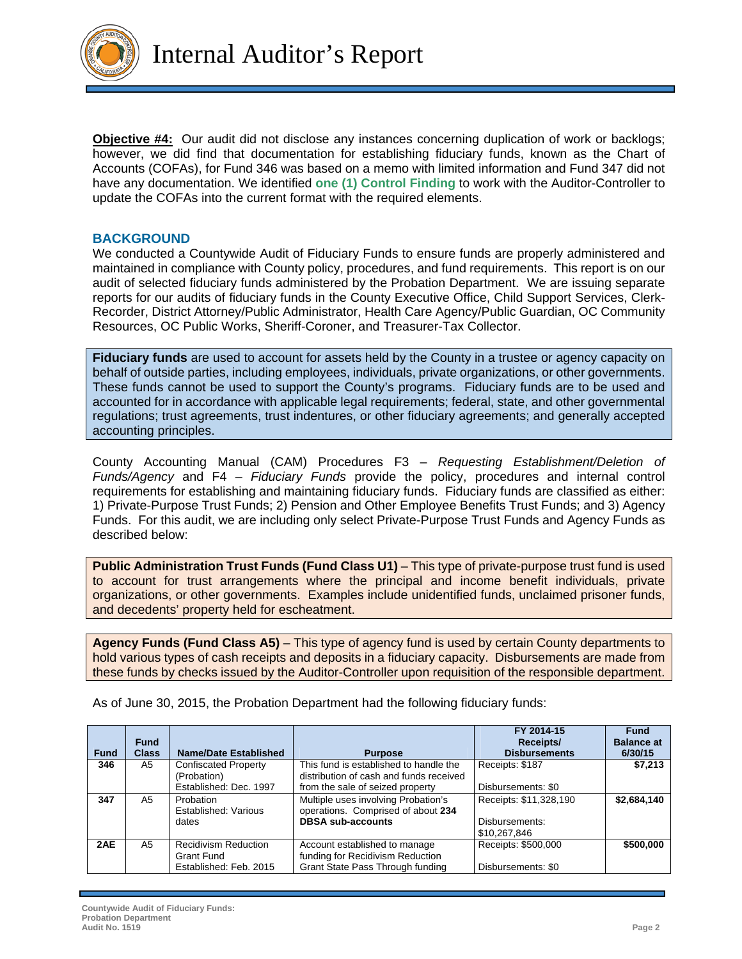

**Objective #4:** Our audit did not disclose any instances concerning duplication of work or backlogs; however, we did find that documentation for establishing fiduciary funds, known as the Chart of Accounts (COFAs), for Fund 346 was based on a memo with limited information and Fund 347 did not have any documentation. We identified **one (1) Control Finding** to work with the Auditor-Controller to update the COFAs into the current format with the required elements.

### **BACKGROUND**

We conducted a Countywide Audit of Fiduciary Funds to ensure funds are properly administered and maintained in compliance with County policy, procedures, and fund requirements. This report is on our audit of selected fiduciary funds administered by the Probation Department. We are issuing separate reports for our audits of fiduciary funds in the County Executive Office, Child Support Services, Clerk-Recorder, District Attorney/Public Administrator, Health Care Agency/Public Guardian, OC Community Resources, OC Public Works, Sheriff-Coroner, and Treasurer-Tax Collector.

**Fiduciary funds** are used to account for assets held by the County in a trustee or agency capacity on behalf of outside parties, including employees, individuals, private organizations, or other governments. These funds cannot be used to support the County's programs. Fiduciary funds are to be used and accounted for in accordance with applicable legal requirements; federal, state, and other governmental regulations; trust agreements, trust indentures, or other fiduciary agreements; and generally accepted accounting principles.

County Accounting Manual (CAM) Procedures F3 – *Requesting Establishment/Deletion of Funds/Agency* and F4 – *Fiduciary Funds* provide the policy, procedures and internal control requirements for establishing and maintaining fiduciary funds. Fiduciary funds are classified as either: 1) Private-Purpose Trust Funds; 2) Pension and Other Employee Benefits Trust Funds; and 3) Agency Funds. For this audit, we are including only select Private-Purpose Trust Funds and Agency Funds as described below:

**Public Administration Trust Funds (Fund Class U1) – This type of private-purpose trust fund is used** to account for trust arrangements where the principal and income benefit individuals, private organizations, or other governments. Examples include unidentified funds, unclaimed prisoner funds, and decedents' property held for escheatment.

**Agency Funds (Fund Class A5)** – This type of agency fund is used by certain County departments to hold various types of cash receipts and deposits in a fiduciary capacity. Disbursements are made from these funds by checks issued by the Auditor-Controller upon requisition of the responsible department.

|             | <b>Fund</b>  |                                           |                                                                                   | FY 2014-15<br>Receipts/        | <b>Fund</b><br><b>Balance at</b> |
|-------------|--------------|-------------------------------------------|-----------------------------------------------------------------------------------|--------------------------------|----------------------------------|
| <b>Fund</b> | <b>Class</b> | <b>Name/Date Established</b>              | <b>Purpose</b>                                                                    | <b>Disbursements</b>           | 6/30/15                          |
| 346         | A5           | Confiscated Property<br>(Probation)       | This fund is established to handle the<br>distribution of cash and funds received | Receipts: \$187                | \$7,213                          |
|             |              | Established: Dec. 1997                    | from the sale of seized property                                                  | Disbursements: \$0             |                                  |
| 347         | A5           | Probation<br>Established: Various         | Multiple uses involving Probation's<br>operations. Comprised of about 234         | Receipts: \$11,328,190         | \$2,684,140                      |
|             |              | dates                                     | <b>DBSA sub-accounts</b>                                                          | Disbursements:<br>\$10,267,846 |                                  |
| 2AE         | A5           | <b>Recidivism Reduction</b><br>Grant Fund | Account established to manage<br>funding for Recidivism Reduction                 | Receipts: \$500,000            | \$500,000                        |
|             |              | Established: Feb. 2015                    | Grant State Pass Through funding                                                  | Disbursements: \$0             |                                  |

As of June 30, 2015, the Probation Department had the following fiduciary funds: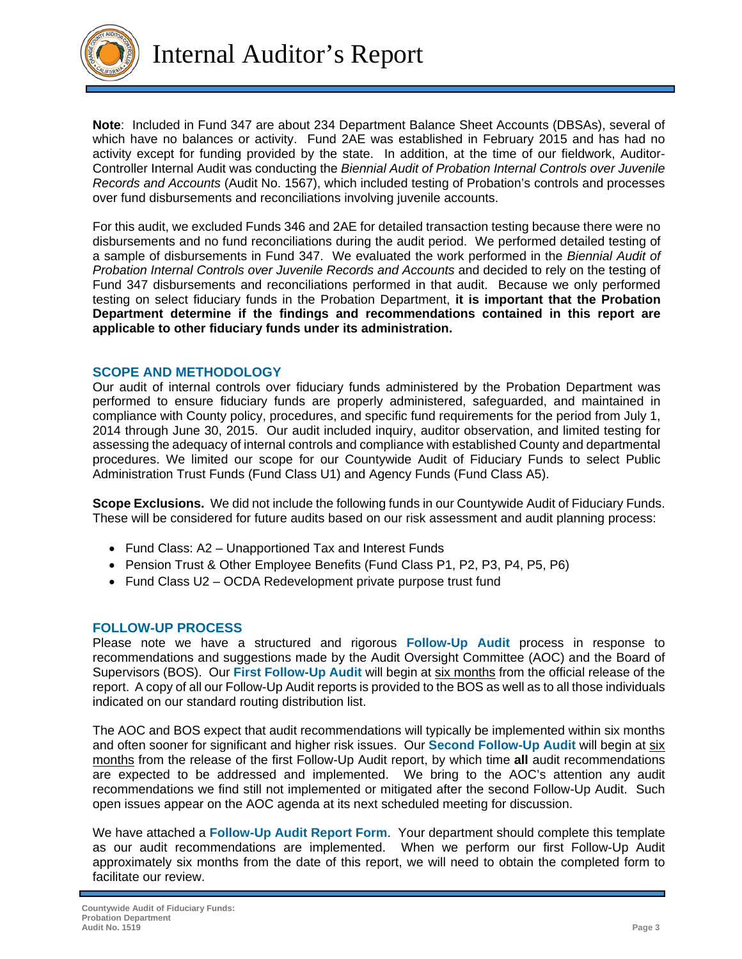

Internal Auditor's Report

**Note**: Included in Fund 347 are about 234 Department Balance Sheet Accounts (DBSAs), several of which have no balances or activity. Fund 2AE was established in February 2015 and has had no activity except for funding provided by the state. In addition, at the time of our fieldwork, Auditor-Controller Internal Audit was conducting the *Biennial Audit of Probation Internal Controls over Juvenile Records and Accounts* (Audit No. 1567), which included testing of Probation's controls and processes over fund disbursements and reconciliations involving juvenile accounts.

For this audit, we excluded Funds 346 and 2AE for detailed transaction testing because there were no disbursements and no fund reconciliations during the audit period. We performed detailed testing of a sample of disbursements in Fund 347. We evaluated the work performed in the *Biennial Audit of Probation Internal Controls over Juvenile Records and Accounts* and decided to rely on the testing of Fund 347 disbursements and reconciliations performed in that audit. Because we only performed testing on select fiduciary funds in the Probation Department, **it is important that the Probation Department determine if the findings and recommendations contained in this report are applicable to other fiduciary funds under its administration.** 

# **SCOPE AND METHODOLOGY**

Our audit of internal controls over fiduciary funds administered by the Probation Department was performed to ensure fiduciary funds are properly administered, safeguarded, and maintained in compliance with County policy, procedures, and specific fund requirements for the period from July 1, 2014 through June 30, 2015. Our audit included inquiry, auditor observation, and limited testing for assessing the adequacy of internal controls and compliance with established County and departmental procedures. We limited our scope for our Countywide Audit of Fiduciary Funds to select Public Administration Trust Funds (Fund Class U1) and Agency Funds (Fund Class A5).

**Scope Exclusions.** We did not include the following funds in our Countywide Audit of Fiduciary Funds. These will be considered for future audits based on our risk assessment and audit planning process:

- Fund Class: A2 Unapportioned Tax and Interest Funds
- Pension Trust & Other Employee Benefits (Fund Class P1, P2, P3, P4, P5, P6)
- Fund Class U2 OCDA Redevelopment private purpose trust fund

# **FOLLOW-UP PROCESS**

Please note we have a structured and rigorous **Follow-Up Audit** process in response to recommendations and suggestions made by the Audit Oversight Committee (AOC) and the Board of Supervisors (BOS). Our **First Follow-Up Audit** will begin at six months from the official release of the report. A copy of all our Follow-Up Audit reports is provided to the BOS as well as to all those individuals indicated on our standard routing distribution list.

The AOC and BOS expect that audit recommendations will typically be implemented within six months and often sooner for significant and higher risk issues. Our **Second Follow-Up Audit** will begin at six months from the release of the first Follow-Up Audit report, by which time **all** audit recommendations are expected to be addressed and implemented. We bring to the AOC's attention any audit recommendations we find still not implemented or mitigated after the second Follow-Up Audit. Such open issues appear on the AOC agenda at its next scheduled meeting for discussion.

We have attached a **Follow-Up Audit Report Form**. Your department should complete this template as our audit recommendations are implemented. When we perform our first Follow-Up Audit approximately six months from the date of this report, we will need to obtain the completed form to facilitate our review.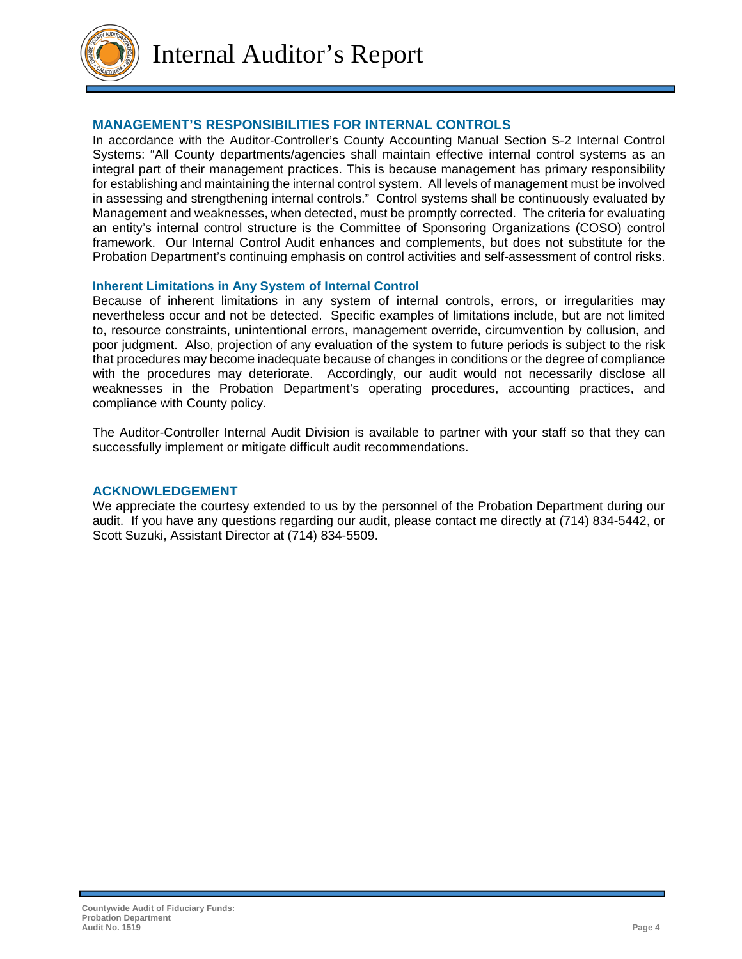

Internal Auditor's Report

# **MANAGEMENT'S RESPONSIBILITIES FOR INTERNAL CONTROLS**

In accordance with the Auditor-Controller's County Accounting Manual Section S-2 Internal Control Systems: "All County departments/agencies shall maintain effective internal control systems as an integral part of their management practices. This is because management has primary responsibility for establishing and maintaining the internal control system. All levels of management must be involved in assessing and strengthening internal controls." Control systems shall be continuously evaluated by Management and weaknesses, when detected, must be promptly corrected. The criteria for evaluating an entity's internal control structure is the Committee of Sponsoring Organizations (COSO) control framework. Our Internal Control Audit enhances and complements, but does not substitute for the Probation Department's continuing emphasis on control activities and self-assessment of control risks.

# **Inherent Limitations in Any System of Internal Control**

Because of inherent limitations in any system of internal controls, errors, or irregularities may nevertheless occur and not be detected. Specific examples of limitations include, but are not limited to, resource constraints, unintentional errors, management override, circumvention by collusion, and poor judgment. Also, projection of any evaluation of the system to future periods is subject to the risk that procedures may become inadequate because of changes in conditions or the degree of compliance with the procedures may deteriorate. Accordingly, our audit would not necessarily disclose all weaknesses in the Probation Department's operating procedures, accounting practices, and compliance with County policy.

The Auditor-Controller Internal Audit Division is available to partner with your staff so that they can successfully implement or mitigate difficult audit recommendations.

### **ACKNOWLEDGEMENT**

We appreciate the courtesy extended to us by the personnel of the Probation Department during our audit. If you have any questions regarding our audit, please contact me directly at (714) 834-5442, or Scott Suzuki, Assistant Director at (714) 834-5509.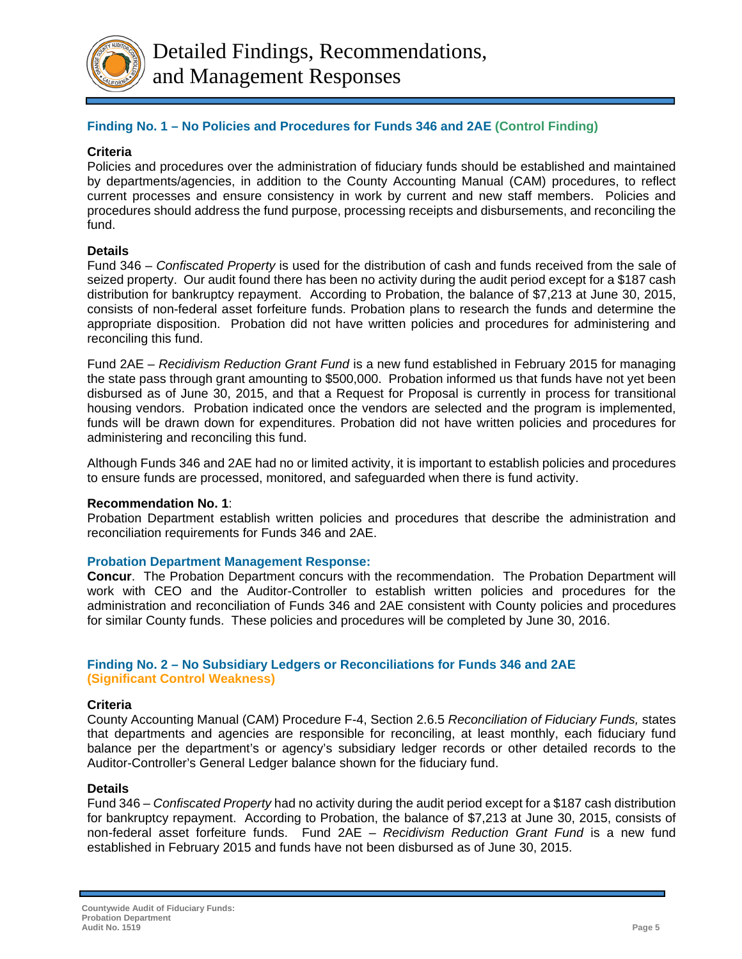

# **Finding No. 1 – No Policies and Procedures for Funds 346 and 2AE (Control Finding)**

# **Criteria**

Policies and procedures over the administration of fiduciary funds should be established and maintained by departments/agencies, in addition to the County Accounting Manual (CAM) procedures, to reflect current processes and ensure consistency in work by current and new staff members. Policies and procedures should address the fund purpose, processing receipts and disbursements, and reconciling the fund.

# **Details**

Fund 346 – *Confiscated Property* is used for the distribution of cash and funds received from the sale of seized property. Our audit found there has been no activity during the audit period except for a \$187 cash distribution for bankruptcy repayment. According to Probation, the balance of \$7,213 at June 30, 2015, consists of non-federal asset forfeiture funds. Probation plans to research the funds and determine the appropriate disposition. Probation did not have written policies and procedures for administering and reconciling this fund.

Fund 2AE – *Recidivism Reduction Grant Fund* is a new fund established in February 2015 for managing the state pass through grant amounting to \$500,000. Probation informed us that funds have not yet been disbursed as of June 30, 2015, and that a Request for Proposal is currently in process for transitional housing vendors. Probation indicated once the vendors are selected and the program is implemented, funds will be drawn down for expenditures. Probation did not have written policies and procedures for administering and reconciling this fund.

Although Funds 346 and 2AE had no or limited activity, it is important to establish policies and procedures to ensure funds are processed, monitored, and safeguarded when there is fund activity.

# **Recommendation No. 1**:

Probation Department establish written policies and procedures that describe the administration and reconciliation requirements for Funds 346 and 2AE.

# **Probation Department Management Response:**

**Concur**. The Probation Department concurs with the recommendation. The Probation Department will work with CEO and the Auditor-Controller to establish written policies and procedures for the administration and reconciliation of Funds 346 and 2AE consistent with County policies and procedures for similar County funds. These policies and procedures will be completed by June 30, 2016.

# **Finding No. 2 – No Subsidiary Ledgers or Reconciliations for Funds 346 and 2AE (Significant Control Weakness)**

# **Criteria**

County Accounting Manual (CAM) Procedure F-4, Section 2.6.5 *Reconciliation of Fiduciary Funds,* states that departments and agencies are responsible for reconciling, at least monthly, each fiduciary fund balance per the department's or agency's subsidiary ledger records or other detailed records to the Auditor-Controller's General Ledger balance shown for the fiduciary fund.

# **Details**

Fund 346 – *Confiscated Property* had no activity during the audit period except for a \$187 cash distribution for bankruptcy repayment. According to Probation, the balance of \$7,213 at June 30, 2015, consists of non-federal asset forfeiture funds. Fund 2AE – *Recidivism Reduction Grant Fund* is a new fund established in February 2015 and funds have not been disbursed as of June 30, 2015.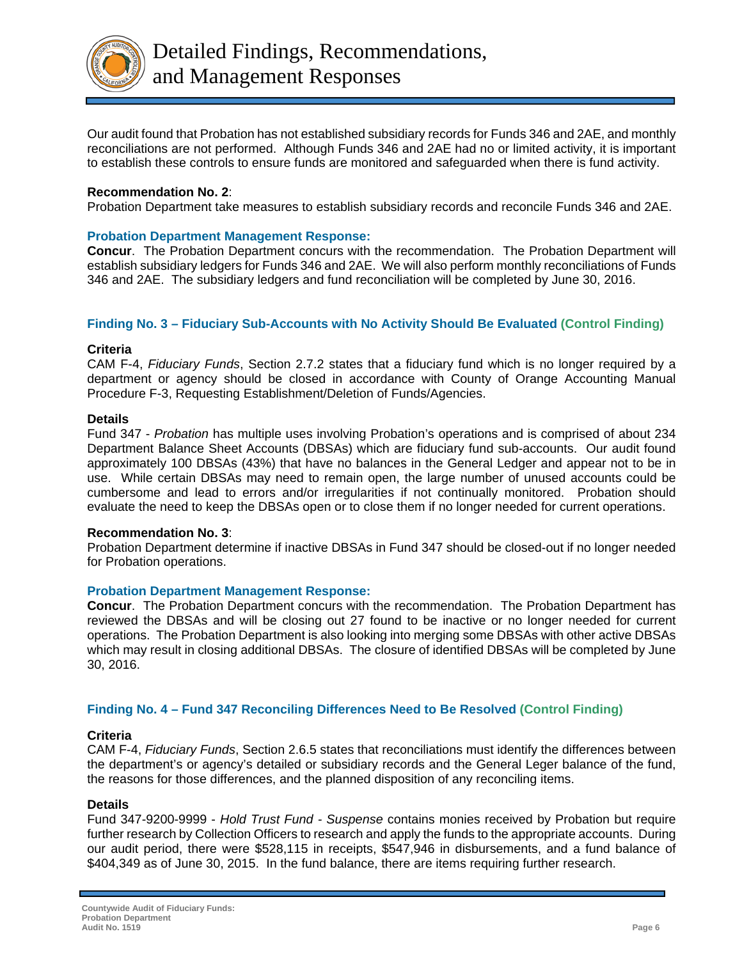

Our audit found that Probation has not established subsidiary records for Funds 346 and 2AE, and monthly reconciliations are not performed. Although Funds 346 and 2AE had no or limited activity, it is important to establish these controls to ensure funds are monitored and safeguarded when there is fund activity.

# **Recommendation No. 2**:

Probation Department take measures to establish subsidiary records and reconcile Funds 346 and 2AE.

### **Probation Department Management Response:**

**Concur**. The Probation Department concurs with the recommendation. The Probation Department will establish subsidiary ledgers for Funds 346 and 2AE. We will also perform monthly reconciliations of Funds 346 and 2AE. The subsidiary ledgers and fund reconciliation will be completed by June 30, 2016.

# **Finding No. 3 – Fiduciary Sub-Accounts with No Activity Should Be Evaluated (Control Finding)**

### **Criteria**

CAM F-4, *Fiduciary Funds*, Section 2.7.2 states that a fiduciary fund which is no longer required by a department or agency should be closed in accordance with County of Orange Accounting Manual Procedure F-3, Requesting Establishment/Deletion of Funds/Agencies.

### **Details**

Fund 347 - *Probation* has multiple uses involving Probation's operations and is comprised of about 234 Department Balance Sheet Accounts (DBSAs) which are fiduciary fund sub-accounts. Our audit found approximately 100 DBSAs (43%) that have no balances in the General Ledger and appear not to be in use. While certain DBSAs may need to remain open, the large number of unused accounts could be cumbersome and lead to errors and/or irregularities if not continually monitored. Probation should evaluate the need to keep the DBSAs open or to close them if no longer needed for current operations.

### **Recommendation No. 3**:

Probation Department determine if inactive DBSAs in Fund 347 should be closed-out if no longer needed for Probation operations.

### **Probation Department Management Response:**

**Concur**. The Probation Department concurs with the recommendation. The Probation Department has reviewed the DBSAs and will be closing out 27 found to be inactive or no longer needed for current operations. The Probation Department is also looking into merging some DBSAs with other active DBSAs which may result in closing additional DBSAs. The closure of identified DBSAs will be completed by June 30, 2016.

# **Finding No. 4 – Fund 347 Reconciling Differences Need to Be Resolved (Control Finding)**

### **Criteria**

CAM F-4, *Fiduciary Funds*, Section 2.6.5 states that reconciliations must identify the differences between the department's or agency's detailed or subsidiary records and the General Leger balance of the fund, the reasons for those differences, and the planned disposition of any reconciling items.

### **Details**

Fund 347-9200-9999 - *Hold Trust Fund - Suspense* contains monies received by Probation but require further research by Collection Officers to research and apply the funds to the appropriate accounts. During our audit period, there were \$528,115 in receipts, \$547,946 in disbursements, and a fund balance of \$404,349 as of June 30, 2015. In the fund balance, there are items requiring further research.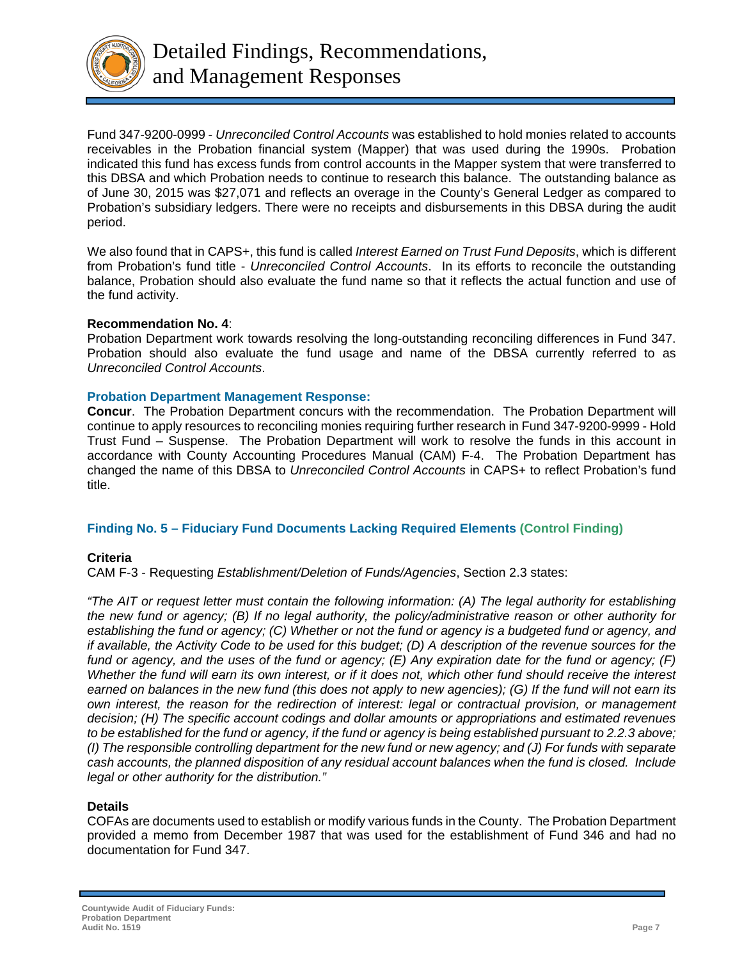

Fund 347-9200-0999 - *Unreconciled Control Accounts* was established to hold monies related to accounts receivables in the Probation financial system (Mapper) that was used during the 1990s. Probation indicated this fund has excess funds from control accounts in the Mapper system that were transferred to this DBSA and which Probation needs to continue to research this balance. The outstanding balance as of June 30, 2015 was \$27,071 and reflects an overage in the County's General Ledger as compared to Probation's subsidiary ledgers. There were no receipts and disbursements in this DBSA during the audit period.

We also found that in CAPS+, this fund is called *Interest Earned on Trust Fund Deposits*, which is different from Probation's fund title - *Unreconciled Control Accounts*. In its efforts to reconcile the outstanding balance, Probation should also evaluate the fund name so that it reflects the actual function and use of the fund activity.

### **Recommendation No. 4**:

Probation Department work towards resolving the long-outstanding reconciling differences in Fund 347. Probation should also evaluate the fund usage and name of the DBSA currently referred to as *Unreconciled Control Accounts*.

### **Probation Department Management Response:**

**Concur**. The Probation Department concurs with the recommendation. The Probation Department will continue to apply resources to reconciling monies requiring further research in Fund 347-9200-9999 - Hold Trust Fund – Suspense. The Probation Department will work to resolve the funds in this account in accordance with County Accounting Procedures Manual (CAM) F-4. The Probation Department has changed the name of this DBSA to *Unreconciled Control Accounts* in CAPS+ to reflect Probation's fund title.

# **Finding No. 5 – Fiduciary Fund Documents Lacking Required Elements (Control Finding)**

# **Criteria**

CAM F-3 - Requesting *Establishment/Deletion of Funds/Agencies*, Section 2.3 states:

*"The AIT or request letter must contain the following information: (A) The legal authority for establishing the new fund or agency; (B) If no legal authority, the policy/administrative reason or other authority for establishing the fund or agency; (C) Whether or not the fund or agency is a budgeted fund or agency, and if available, the Activity Code to be used for this budget; (D) A description of the revenue sources for the fund or agency, and the uses of the fund or agency; (E) Any expiration date for the fund or agency; (F) Whether the fund will earn its own interest, or if it does not, which other fund should receive the interest earned on balances in the new fund (this does not apply to new agencies); (G) If the fund will not earn its own interest, the reason for the redirection of interest: legal or contractual provision, or management decision; (H) The specific account codings and dollar amounts or appropriations and estimated revenues to be established for the fund or agency, if the fund or agency is being established pursuant to 2.2.3 above; (I) The responsible controlling department for the new fund or new agency; and (J) For funds with separate cash accounts, the planned disposition of any residual account balances when the fund is closed. Include legal or other authority for the distribution."* 

# **Details**

COFAs are documents used to establish or modify various funds in the County. The Probation Department provided a memo from December 1987 that was used for the establishment of Fund 346 and had no documentation for Fund 347.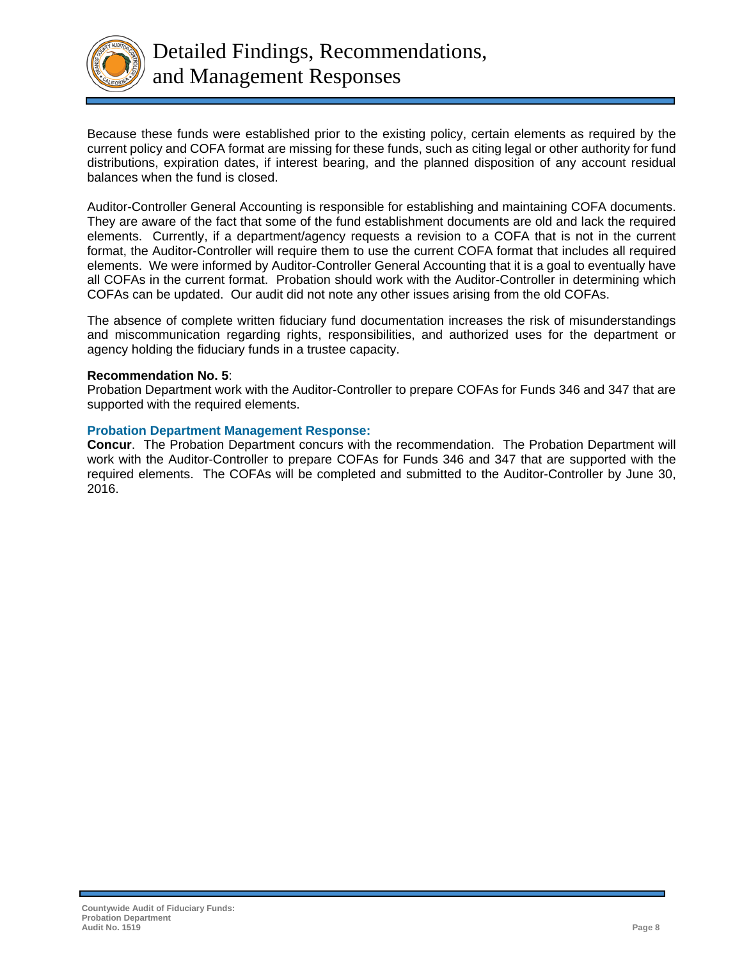

Because these funds were established prior to the existing policy, certain elements as required by the current policy and COFA format are missing for these funds, such as citing legal or other authority for fund distributions, expiration dates, if interest bearing, and the planned disposition of any account residual balances when the fund is closed.

Auditor-Controller General Accounting is responsible for establishing and maintaining COFA documents. They are aware of the fact that some of the fund establishment documents are old and lack the required elements. Currently, if a department/agency requests a revision to a COFA that is not in the current format, the Auditor-Controller will require them to use the current COFA format that includes all required elements. We were informed by Auditor-Controller General Accounting that it is a goal to eventually have all COFAs in the current format. Probation should work with the Auditor-Controller in determining which COFAs can be updated. Our audit did not note any other issues arising from the old COFAs.

The absence of complete written fiduciary fund documentation increases the risk of misunderstandings and miscommunication regarding rights, responsibilities, and authorized uses for the department or agency holding the fiduciary funds in a trustee capacity.

### **Recommendation No. 5**:

Probation Department work with the Auditor-Controller to prepare COFAs for Funds 346 and 347 that are supported with the required elements.

### **Probation Department Management Response:**

**Concur**. The Probation Department concurs with the recommendation. The Probation Department will work with the Auditor-Controller to prepare COFAs for Funds 346 and 347 that are supported with the required elements. The COFAs will be completed and submitted to the Auditor-Controller by June 30, 2016.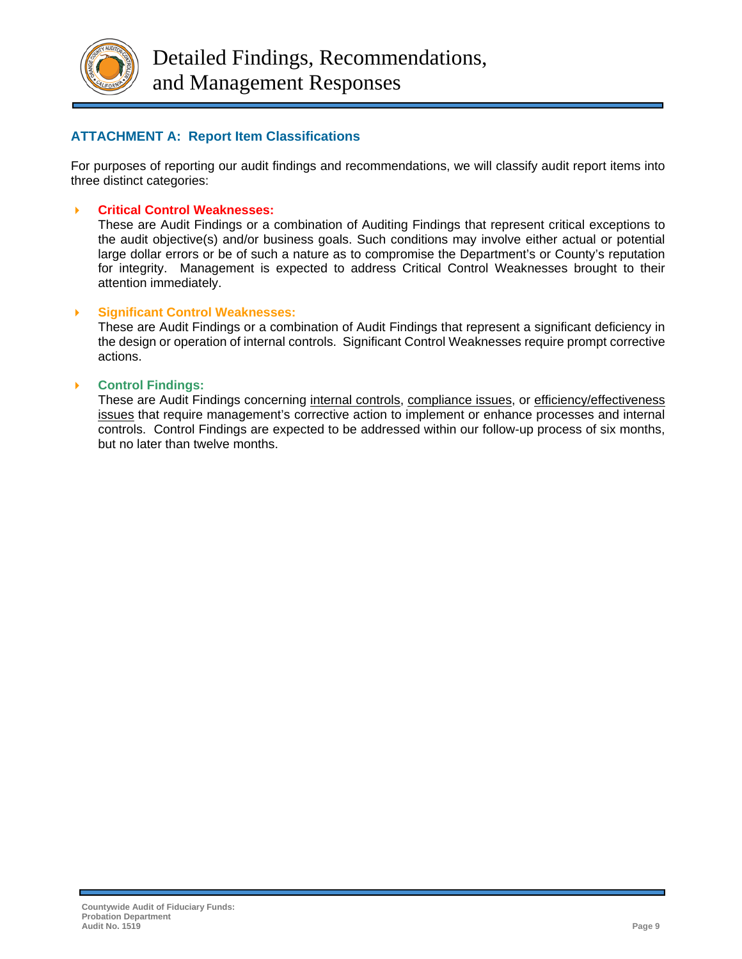

# **ATTACHMENT A: Report Item Classifications**

For purposes of reporting our audit findings and recommendations, we will classify audit report items into three distinct categories:

# **Critical Control Weaknesses:**

These are Audit Findings or a combination of Auditing Findings that represent critical exceptions to the audit objective(s) and/or business goals. Such conditions may involve either actual or potential large dollar errors or be of such a nature as to compromise the Department's or County's reputation for integrity. Management is expected to address Critical Control Weaknesses brought to their attention immediately.

# **Significant Control Weaknesses:**

These are Audit Findings or a combination of Audit Findings that represent a significant deficiency in the design or operation of internal controls. Significant Control Weaknesses require prompt corrective actions.

# **Control Findings:**

These are Audit Findings concerning internal controls, compliance issues, or efficiency/effectiveness issues that require management's corrective action to implement or enhance processes and internal controls. Control Findings are expected to be addressed within our follow-up process of six months, but no later than twelve months.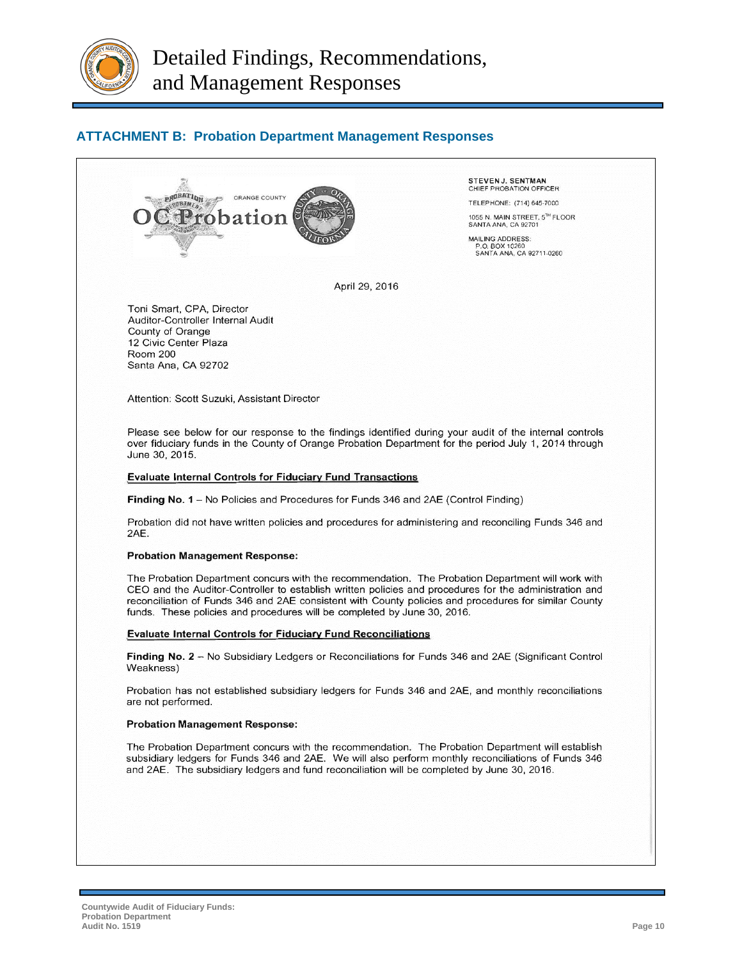

# **ATTACHMENT B: Probation Department Management Responses**



STEVENJ, SENTMAN CHIEF PROBATION OFFICER

TELEPHONE: (714) 645-7000

1055 N. MAIN STREET, 5TH FLOOR SANTA ANA, CA 92701

MAILING ADDRESS: P.O. BOX 10260<br>SANTA ANA, CA 92711-0260

April 29, 2016

Toni Smart, CPA, Director Auditor-Controller Internal Audit County of Orange 12 Civic Center Plaza Room 200 Santa Ana, CA 92702

Attention: Scott Suzuki, Assistant Director

Please see below for our response to the findings identified during your audit of the internal controls over fiduciary funds in the County of Orange Probation Department for the period July 1, 2014 through June 30, 2015.

#### **Evaluate Internal Controls for Fiduciary Fund Transactions**

Finding No. 1 - No Policies and Procedures for Funds 346 and 2AE (Control Finding)

Probation did not have written policies and procedures for administering and reconciling Funds 346 and 2AE.

#### **Probation Management Response:**

The Probation Department concurs with the recommendation. The Probation Department will work with CEO and the Auditor-Controller to establish written policies and procedures for the administration and reconciliation of Funds 346 and 2AE consistent with County policies and procedures for similar County funds. These policies and procedures will be completed by June 30, 2016.

#### **Evaluate Internal Controls for Fiduciary Fund Reconciliations**

Finding No. 2 - No Subsidiary Ledgers or Reconciliations for Funds 346 and 2AE (Significant Control Weakness)

Probation has not established subsidiary ledgers for Funds 346 and 2AE, and monthly reconciliations are not performed.

#### **Probation Management Response:**

The Probation Department concurs with the recommendation. The Probation Department will establish subsidiary ledgers for Funds 346 and 2AE. We will also perform monthly reconciliations of Funds 346 and 2AE. The subsidiary ledgers and fund reconciliation will be completed by June 30, 2016.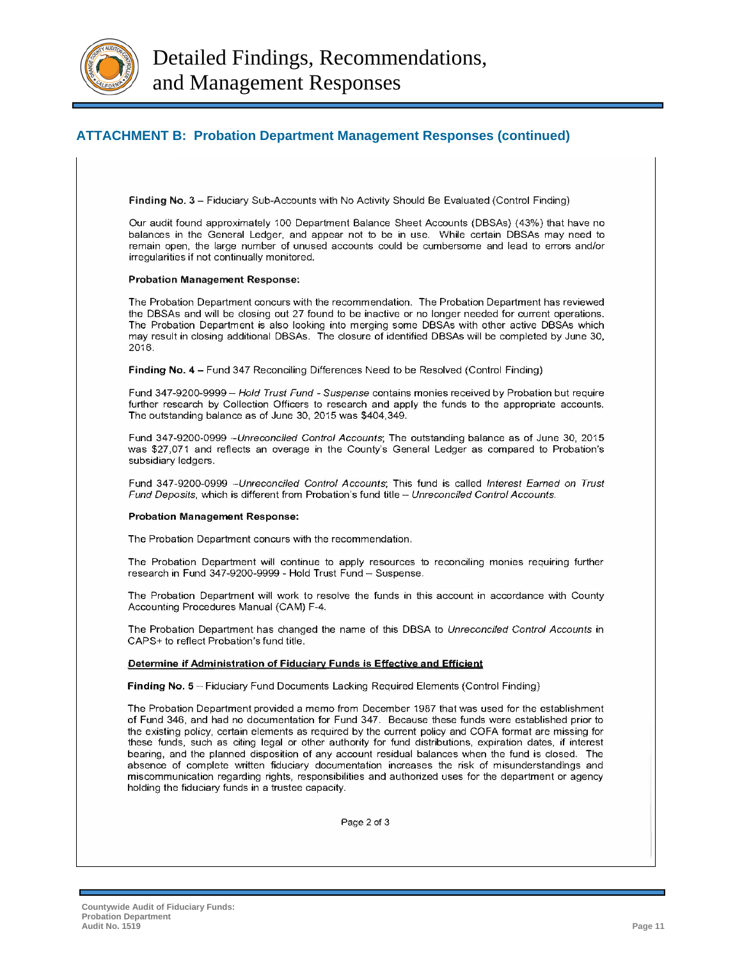

# **ATTACHMENT B: Probation Department Management Responses (continued)**

Finding No. 3 - Fiduciary Sub-Accounts with No Activity Should Be Evaluated (Control Finding)

Our audit found approximately 100 Department Balance Sheet Accounts (DBSAs) (43%) that have no balances in the General Ledger, and appear not to be in use. While certain DBSAs may need to remain open, the large number of unused accounts could be cumbersome and lead to errors and/or irregularities if not continually monitored.

#### **Probation Management Response:**

The Probation Department concurs with the recommendation. The Probation Department has reviewed the DBSAs and will be closing out 27 found to be inactive or no longer needed for current operations. The Probation Department is also looking into merging some DBSAs with other active DBSAs which may result in closing additional DBSAs. The closure of identified DBSAs will be completed by June 30, 2016.

Finding No. 4 - Fund 347 Reconciling Differences Need to be Resolved (Control Finding)

Fund 347-9200-9999 - Hold Trust Fund - Suspense contains monies received by Probation but require further research by Collection Officers to research and apply the funds to the appropriate accounts. The outstanding balance as of June 30, 2015 was \$404,349.

Fund 347-9200-0999 - Unreconciled Control Accounts; The outstanding balance as of June 30, 2015 was \$27,071 and reflects an overage in the County's General Ledger as compared to Probation's subsidiary ledgers.

Fund 347-9200-0999 --Unreconciled Control Accounts; This fund is called Interest Earned on Trust Fund Deposits, which is different from Probation's fund title - Unreconciled Control Accounts.

#### **Probation Management Response:**

The Probation Department concurs with the recommendation.

The Probation Department will continue to apply resources to reconciling monies requiring further research in Fund 347-9200-9999 - Hold Trust Fund - Suspense.

The Probation Department will work to resolve the funds in this account in accordance with County Accounting Procedures Manual (CAM) F-4.

The Probation Department has changed the name of this DBSA to Unreconciled Control Accounts in CAPS+ to reflect Probation's fund title.

#### Determine if Administration of Fiduciary Funds is Effective and Efficient

Finding No. 5 - Fiduciary Fund Documents Lacking Required Elements (Control Finding)

The Probation Department provided a memo from December 1987 that was used for the establishment of Fund 346, and had no documentation for Fund 347. Because these funds were established prior to the existing policy, certain elements as required by the current policy and COFA format are missing for these funds, such as citing legal or other authority for fund distributions, expiration dates, if interest bearing, and the planned disposition of any account residual balances when the fund is closed. The absence of complete written fiduciary documentation increases the risk of misunderstandings and miscommunication regarding rights, responsibilities and authorized uses for the department or agency holding the fiduciary funds in a trustee capacity.

Page 2 of 3